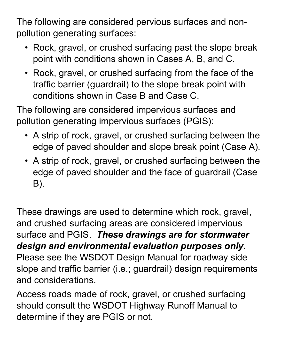The following are considered pervious surfaces and nonpollution generating surfaces:

- Rock, gravel, or crushed surfacing past the slope break point with conditions shown in Cases A, B, and C.
- Rock, gravel, or crushed surfacing from the face of the traffic barrier (guardrail) to the slope break point with conditions shown in Case B and Case C.

The following are considered impervious surfaces and pollution generating impervious surfaces (PGIS):

- A strip of rock, gravel, or crushed surfacing between the edge of paved shoulder and slope break point (Case A).
- A strip of rock, gravel, or crushed surfacing between the edge of paved shoulder and the face of guardrail (Case B).

These drawings are used to determine which rock, gravel, and crushed surfacing areas are considered impervious surface and PGIS. *These drawings are for stormwater design and environmental evaluation purposes only.*  Please see the WSDOT Design Manual for roadway side slope and traffic barrier (i.e.; guardrail) design requirements and considerations.

Access roads made of rock, gravel, or crushed surfacing should consult the WSDOT Highway Runoff Manual to determine if they are PGIS or not.